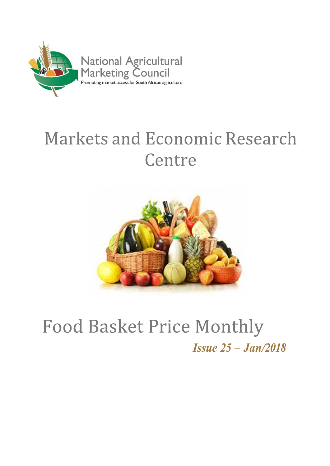

# **Markets and Economic Research** Centre



## **Food Basket Price Monthly** Issue 25 – Jan/2018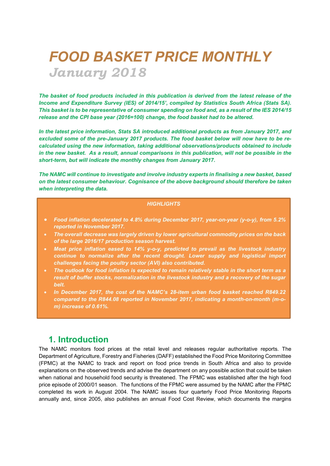## FOOD BASKET PRICE MONTHLY January 2018

The basket of food products included in this publication is derived from the latest release of the Income and Expenditure Survey (IES) of 2014/15', compiled by Statistics South Africa (Stats SA). This basket is to be representative of consumer spending on food and, as a result of the IES 2014/15 release and the CPI base year (2016=100) change, the food basket had to be altered.

In the latest price information, Stats SA introduced additional products as from January 2017, and excluded some of the pre-January 2017 products. The food basket below will now have to be recalculated using the new information, taking additional observations/products obtained to include in the new basket. As a result, annual comparisons in this publication, will not be possible in the short-term, but will indicate the monthly changes from January 2017.

The NAMC will continue to investigate and involve industry experts in finalising a new basket, based on the latest consumer behaviour. Cognisance of the above background should therefore be taken when interpreting the data.

#### **HIGHLIGHTS**

- Food inflation decelerated to 4.8% during December 2017, year-on-year (y-o-y), from 5.2% reported in November 2017.
- The overall decrease was largely driven by lower agricultural commodity prices on the back of the large 2016/17 production season harvest.
- Meat price inflation eased to 14% y-o-y, predicted to prevail as the livestock industry continue to normalize after the recent drought. Lower supply and logistical import challenges facing the poultry sector (AVI) also contributed.
- The outlook for food inflation is expected to remain relatively stable in the short term as a result of buffer stocks, normalization in the livestock industry and a recovery of the sugar belt.
- In December 2017, the cost of the NAMC's 28-item urban food basket reached R849.22 compared to the R844.08 reported in November 2017, indicating a month-on-month (m-om) increase of 0.61%.

### 1. Introduction

The NAMC monitors food prices at the retail level and releases regular authoritative reports. The Department of Agriculture, Forestry and Fisheries (DAFF) established the Food Price Monitoring Committee (FPMC) at the NAMC to track and report on food price trends in South Africa and also to provide explanations on the observed trends and advise the department on any possible action that could be taken when national and household food security is threatened. The FPMC was established after the high food price episode of 2000/01 season. The functions of the FPMC were assumed by the NAMC after the FPMC completed its work in August 2004. The NAMC issues four quarterly Food Price Monitoring Reports annually and, since 2005, also publishes an annual Food Cost Review, which documents the margins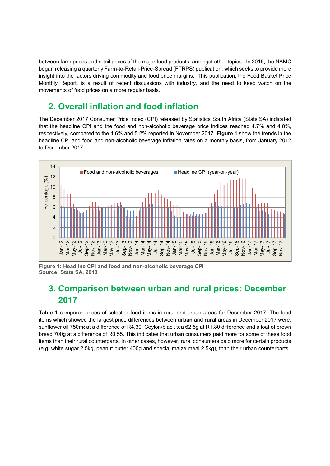between farm prices and retail prices of the major food products, amongst other topics. In 2015, the NAMC began releasing a quarterly Farm-to-Retail-Price-Spread (FTRPS) publication, which seeks to provide more insight into the factors driving commodity and food price margins. This publication, the Food Basket Price Monthly Report, is a result of recent discussions with industry, and the need to keep watch on the movements of food prices on a more regular basis.

## 2. Overall inflation and food inflation

The December 2017 Consumer Price Index (CPI) released by Statistics South Africa (Stats SA) indicated that the headline CPI and the food and non-alcoholic beverage price indices reached 4.7% and 4.8%, respectively, compared to the 4.6% and 5.2% reported in November 2017. Figure 1 show the trends in the headline CPI and food and non-alcoholic beverage inflation rates on a monthly basis, from January 2012 to December 2017.



Figure 1: Headline CPI and food and non-alcoholic beverage CPI Source: Stats SA, 2018

## 3. Comparison between urban and rural prices: December 2017

Table 1 compares prices of selected food items in rural and urban areas for December 2017. The food items which showed the largest price differences between urban and rural areas in December 2017 were: sunflower oil 750mℓ at a difference of R4.30, Ceylon/black tea 62.5g at R1.80 difference and a loaf of brown bread 700g at a difference of R0.55. This indicates that urban consumers paid more for some of these food items than their rural counterparts. In other cases, however, rural consumers paid more for certain products (e.g. white sugar 2.5kg, peanut butter 400g and special maize meal 2.5kg), than their urban counterparts.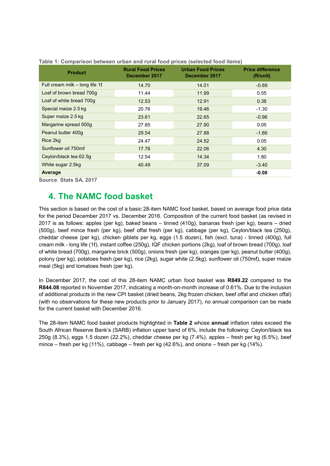| <b>Product</b>                      | <b>Rural Food Prices</b><br>December 2017 | <b>Urban Food Prices</b><br>December 2017 | <b>Price difference</b><br>(R/unit) |
|-------------------------------------|-------------------------------------------|-------------------------------------------|-------------------------------------|
| Full cream milk – long life $1\ell$ | 14.70                                     | 14.01                                     | $-0.69$                             |
| Loaf of brown bread 700g            | 11.44                                     | 11.99                                     | 0.55                                |
| Loaf of white bread 700g            | 12.53                                     | 12.91                                     | 0.38                                |
| Special maize 2.5 kg                | 20.76                                     | 19.46                                     | $-1.30$                             |
| Super maize 2.5 kg                  | 23.61                                     | 22.65                                     | $-0.96$                             |
| Margarine spread 500g               | 27.85                                     | 27.90                                     | 0.05                                |
| Peanut butter 400g                  | 29.54                                     | 27.88                                     | $-1.66$                             |
| Rice 2kg                            | 24.47                                     | 24.52                                     | 0.05                                |
| Sunflower oil 750ml                 | 17.76                                     | 22.06                                     | 4.30                                |
| Ceylon/black tea 62.5g              | 12.54                                     | 14.34                                     | 1.80                                |
| White sugar 2.5kg                   | 40.49                                     | 37.09                                     | $-3.40$                             |
| Average                             |                                           |                                           | $-0.08$                             |

Table 1: Comparison between urban and rural food prices (selected food items)

Source: Stats SA, 2017

### 4. The NAMC food basket

This section is based on the cost of a basic 28-item NAMC food basket, based on average food price data for the period December 2017 vs. December 2016. Composition of the current food basket (as revised in 2017 is as follows: apples (per kg), baked beans – tinned (410g), bananas fresh (per kg), beans – dried (500g), beef mince fresh (per kg), beef offal fresh (per kg), cabbage (per kg), Ceylon/black tea (250g), cheddar cheese (per kg), chicken giblets per kg, eggs (1.5 dozen), fish (excl. tuna) - tinned (400g), full cream milk - long life (1ℓ), instant coffee (250g), IQF chicken portions (2kg), loaf of brown bread (700g), loaf of white bread (700g), margarine brick (500g), onions fresh (per kg), oranges (per kg), peanut butter (400g), polony (per kg), potatoes fresh (per kg), rice (2kg), sugar white (2.5kg), sunflower oil (750mℓ), super maize meal (5kg) and tomatoes fresh (per kg).

In December 2017, the cost of this 28-item NAMC urban food basket was R849.22 compared to the R844.08 reported in November 2017, indicating a month-on-month increase of 0.61%. Due to the inclusion of additional products in the new CPI basket (dried beans, 2kg frozen chicken, beef offal and chicken offal) (with no observations for these new products prior to January 2017), no annual comparison can be made for the current basket with December 2016.

The 28-item NAMC food basket products highlighted in Table 2 whose annual inflation rates exceed the South African Reserve Bank's (SARB) inflation upper band of 6%, include the following: Ceylon/black tea 250g (8.3%), eggs 1.5 dozen (22.2%), cheddar cheese per kg (7.4%), apples – fresh per kg (6.5%), beef mince – fresh per kg (11%), cabbage – fresh per kg (42.6%), and onions – fresh per kg (14%).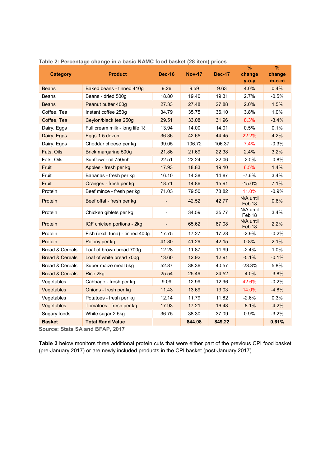| <b>Category</b>            | <b>Product</b>                  | <b>Dec-16</b>            | <b>Nov-17</b> | <b>Dec-17</b> | %<br>change         | $\%$<br>change |
|----------------------------|---------------------------------|--------------------------|---------------|---------------|---------------------|----------------|
|                            |                                 |                          |               |               | $y$ -o-y            | $m$ -o-m       |
| <b>Beans</b>               | Baked beans - tinned 410g       | 9.26                     | 9.59          | 9.63          | 4.0%                | 0.4%           |
| Beans                      | Beans - dried 500g              | 18.80                    | 19.40         | 19.31         | 2.7%                | $-0.5%$        |
| <b>Beans</b>               | Peanut butter 400g              | 27.33                    | 27.48         | 27.88         | 2.0%                | 1.5%           |
| Coffee, Tea                | Instant coffee 250g             | 34.79                    | 35.75         | 36.10         | 3.8%                | 1.0%           |
| Coffee, Tea                | Ceylon/black tea 250g           | 29.51                    | 33.08         | 31.96         | 8.3%                | $-3.4%$        |
| Dairy, Eggs                | Full cream milk - long life 1   | 13.94                    | 14.00         | 14.01         | 0.5%                | 0.1%           |
| Dairy, Eggs                | Eggs 1.5 dozen                  | 36.36                    | 42.65         | 44.45         | 22.2%               | 4.2%           |
| Dairy, Eggs                | Cheddar cheese per kg           | 99.05                    | 106.72        | 106.37        | 7.4%                | $-0.3%$        |
| Fats, Oils                 | Brick margarine 500g            | 21.86                    | 21.69         | 22.38         | 2.4%                | 3.2%           |
| Fats, Oils                 | Sunflower oil 750ml             | 22.51                    | 22.24         | 22.06         | $-2.0%$             | $-0.8%$        |
| Fruit                      | Apples - fresh per kg           | 17.93                    | 18.83         | 19.10         | 6.5%                | 1.4%           |
| Fruit                      | Bananas - fresh per kg          | 16.10                    | 14.38         | 14.87         | $-7.6%$             | 3.4%           |
| Fruit                      | Oranges - fresh per kg          | 18.71                    | 14.86         | 15.91         | $-15.0%$            | 7.1%           |
| Protein                    | Beef mince - fresh per kg       | 71.03                    | 79.50         | 78.82         | 11.0%               | $-0.9%$        |
| Protein                    | Beef offal - fresh per kg       |                          | 42.52         | 42.77         | N/A until<br>Feb'18 | 0.6%           |
| Protein                    | Chicken giblets per kg          |                          | 34.59         | 35.77         | N/A until<br>Feb'18 | 3.4%           |
| Protein                    | IQF chicken portions - 2kg      | $\overline{\phantom{a}}$ | 65.62         | 67.08         | N/A until<br>Feb'18 | 2.2%           |
| Protein                    | Fish (excl. tuna) - tinned 400g | 17.75                    | 17.27         | 17.23         | $-2.9\%$            | $-0.2%$        |
| Protein                    | Polony per kg                   | 41.80                    | 41.29         | 42.15         | 0.8%                | 2.1%           |
| <b>Bread &amp; Cereals</b> | Loaf of brown bread 700g        | 12.28                    | 11.87         | 11.99         | $-2.4%$             | 1.0%           |
| <b>Bread &amp; Cereals</b> | Loaf of white bread 700g        | 13.60                    | 12.92         | 12.91         | $-5.1%$             | $-0.1%$        |
| <b>Bread &amp; Cereals</b> | Super maize meal 5kg            | 52.87                    | 38.36         | 40.57         | -23.3%              | 5.8%           |
| <b>Bread &amp; Cereals</b> | Rice 2kg                        | 25.54                    | 25.49         | 24.52         | $-4.0%$             | $-3.8%$        |
| Vegetables                 | Cabbage - fresh per kg          | 9.09                     | 12.99         | 12.96         | 42.6%               | $-0.2%$        |
| Vegetables                 | Onions - fresh per kg           | 11.43                    | 13.69         | 13.03         | 14.0%               | $-4.8%$        |
| Vegetables                 | Potatoes - fresh per kg         | 12.14                    | 11.79         | 11.82         | $-2.6%$             | 0.3%           |
| Vegetables                 | Tomatoes - fresh per kg         | 17.93                    | 17.21         | 16.48         | $-8.1%$             | $-4.2%$        |
| Sugary foods               | White sugar 2.5kg               | 36.75                    | 38.30         | 37.09         | 0.9%                | $-3.2%$        |
| <b>Basket</b>              | <b>Total Rand Value</b>         |                          | 844.08        | 849.22        |                     | 0.61%          |

#### Table 2: Percentage change in a basic NAMC food basket (28 item) prices

Source: Stats SA and BFAP, 2017

Table 3 below monitors three additional protein cuts that were either part of the previous CPI food basket (pre-January 2017) or are newly included products in the CPI basket (post-January 2017).